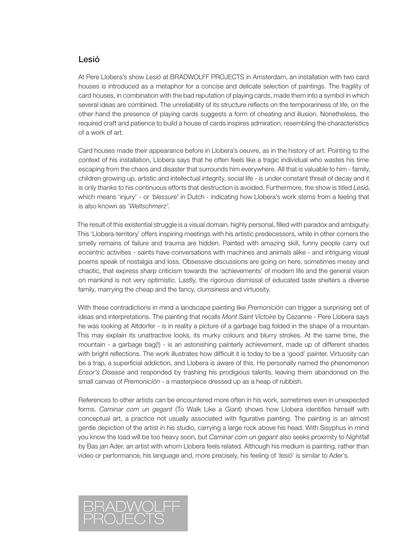## Lesió

At Pere Llobera's show *Lesió* at BRADWOLFF PROJECTS in Amsterdam, an installation with two card houses is introduced as a metaphor for a concise and delicate selection of paintings. The fragility of card houses, in combination with the bad reputation of playing cards, made them into a symbol in which several ideas are combined. The unreliability of its structure reflects on the temporariness of life, on the other hand the presence of playing cards suggests a form of cheating and illusion. Nonetheless, the required craft and patience to build a house of cards inspires admiration, resembling the characteristics of a work of art.

Card houses made their appearance before in Llobera's oeuvre, as in the history of art. Pointing to the context of his installation, Llobera says that he often feels like a tragic individual who wastes his time escaping from the chaos and disaster that surrounds him everywhere. All that is valuable to him - family, children growing up, artistic and intellectual integrity, social life - is under constant threat of decay and it is only thanks to his continuous efforts that destruction is avoided. Furthermore, the show is titled *Lesió*, which means 'injury' - or *'blessure'* in Dutch - indicating how Llobera's work stems from a feeling that is also known as *'Weltschmerz'*.

The result of this existential struggle is a visual domain, highly personal, filled with paradox and ambiguity. This 'Llobera-territory' offers inspiring meetings with his artistic predecessors, while in other corners the smelly remains of failure and trauma are hidden. Painted with amazing skill, funny people carry out eccentric activities - saints have conversations with machines and animals alike - and intriguing visual poems speak of nostalgia and loss. Obsessive discussions are going on here, sometimes messy and chaotic, that express sharp criticism towards the 'achievements' of modern life and the general vision on mankind is not very optimistic. Lastly, the rigorous dismissal of educated taste shelters a diverse family, marrying the cheap and the fancy, clumsiness and virtuosity.

With these contradictions in mind a landscape painting like *Premonición* can trigger a surprising set of ideas and interpretations. The painting that recalls *Mont Saint Victoire* by Cezanne - Pere Llobera says he was looking at Altdorfer - is in reality a picture of a garbage bag folded in the shape of a mountain. This may explain its unattractive looks, its murky colours and blurry strokes. At the same time, the mountain - a garbage bag(!) - is an astonishing painterly achievement, made up of different shades with bright reflections. The work illustrates how difficult it is today to be a 'good' painter. Virtuosity can be a trap, a superficial addiction, and Llobera is aware of this. He personally named the phenomenon *Ensor's Disease* and responded by trashing his prodigious talents, leaving them abandoned on the small canvas of *Premonición* - a masterpiece dressed up as a heap of rubbish.

References to other artists can be encountered more often in his work, sometimes even in unexpected forms. *Caminar com un gegant* (To Walk Like a Giant) shows how Llobera identifies himself with conceptual art, a practice not usually associated with figurative painting. The painting is an almost gentle depiction of the artist in his studio, carrying a large rock above his head. With Sisyphus in mind you know the load will be too heavy soon, but *Caminar com un gegant* also seeks proximity to *Nightfall* by Bas jan Ader, an artist with whom Llobera feels related. Although his medium is painting, rather than video or performance, his language and, more precisely, his feeling of *'lesió'* is similar to Ader's.